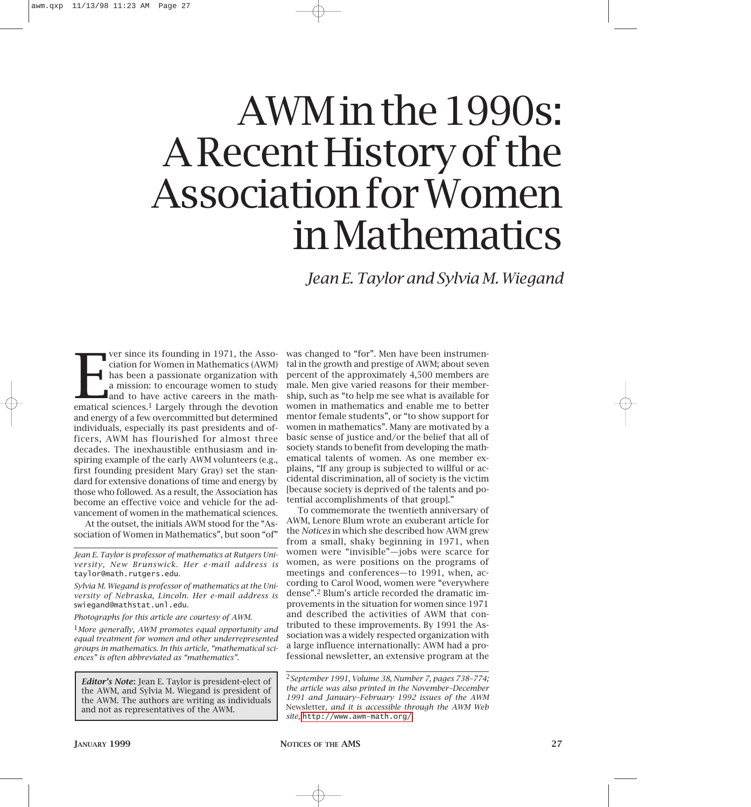# AWM in the 1990s: A Recent History of the Association for Women in Mathematics

*Jean E. Taylor and Sylvia M. Wiegand*

Ver since its founding in 1971, the Association for Women in Mathematics (AWM) has been a passionate organization with a mission: to encourage women to study and to have active careers in the mathematical sciences.<sup>1</sup> Larg ver since its founding in 1971, the Association for Women in Mathematics (AWM) has been a passionate organization with a mission: to encourage women to study and to have active careers in the mathand energy of a few overcommitted but determined individuals, especially its past presidents and officers, AWM has flourished for almost three decades. The inexhaustible enthusiasm and inspiring example of the early AWM volunteers (e.g., first founding president Mary Gray) set the standard for extensive donations of time and energy by those who followed. As a result, the Association has become an effective voice and vehicle for the advancement of women in the mathematical sciences.

At the outset, the initials AWM stood for the "Association of Women in Mathematics", but soon "of"

*Jean E. Taylor is professor of mathematics at Rutgers University, New Brunswick. Her e-mail address is* taylor@math.rutgers.edu*.*

*Sylvia M. Wiegand is professor of mathematics at the University of Nebraska, Lincoln. Her e-mail address is*  swiegand@mathstat.unl.edu*.*

*Photographs for this article are courtesy of AWM.*

1*More generally, AWM promotes equal opportunity and equal treatment for women and other underrepresented groups in mathematics. In this article, "mathematical sciences" is often abbreviated as "mathematics".*

*Editor's Note***:** Jean E. Taylor is president-elect of the AWM, and Sylvia M. Wiegand is president of the AWM. The authors are writing as individuals and not as representatives of the AWM.

was changed to "for". Men have been instrumental in the growth and prestige of AWM; about seven percent of the approximately 4,500 members are male. Men give varied reasons for their membership, such as "to help me see what is available for women in mathematics and enable me to better mentor female students", or "to show support for women in mathematics". Many are motivated by a basic sense of justice and/or the belief that all of society stands to benefit from developing the mathematical talents of women. As one member explains, "If any group is subjected to willful or accidental discrimination, all of society is the victim [because society is deprived of the talents and potential accomplishments of that group]."

To commemorate the twentieth anniversary of AWM, Lenore Blum wrote an exuberant article for the *Notices* in which she described how AWM grew from a small, shaky beginning in 1971, when women were "invisible"—jobs were scarce for women, as were positions on the programs of meetings and conferences—to 1991, when, according to Carol Wood, women were "everywhere dense".2 Blum's article recorded the dramatic improvements in the situation for women since 1971 and described the activities of AWM that contributed to these improvements. By 1991 the Association was a widely respected organization with a large influence internationally: AWM had a professional newsletter, an extensive program at the

2*September 1991, Volume 38, Number 7, pages 738–774; the article was also printed in the November–December 1991 and January–February 1992 issues of the AWM* Newsletter*, and it is accessible through the AWM Web site,* <http://www.awm-math.org/>*.*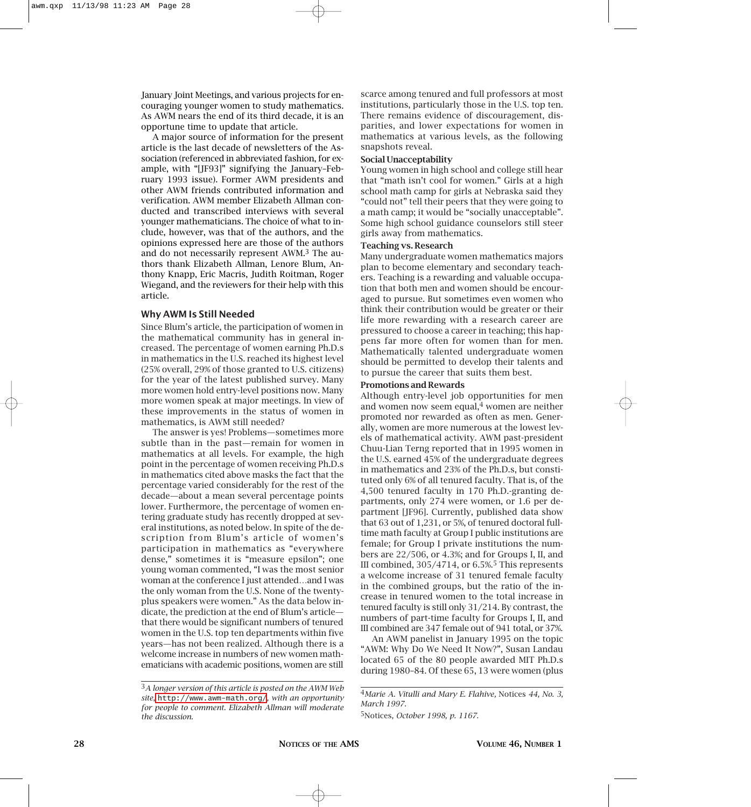January Joint Meetings, and various projects for encouraging younger women to study mathematics. As AWM nears the end of its third decade, it is an opportune time to update that article.

A major source of information for the present article is the last decade of newsletters of the Association (referenced in abbreviated fashion, for example, with "[JF93]" signifying the January–February 1993 issue). Former AWM presidents and other AWM friends contributed information and verification. AWM member Elizabeth Allman conducted and transcribed interviews with several younger mathematicians. The choice of what to include, however, was that of the authors, and the opinions expressed here are those of the authors and do not necessarily represent AWM.3 The authors thank Elizabeth Allman, Lenore Blum, Anthony Knapp, Eric Macris, Judith Roitman, Roger Wiegand, and the reviewers for their help with this article.

# **Why AWM Is Still Needed**

Since Blum's article, the participation of women in the mathematical community has in general increased. The percentage of women earning Ph.D.s in mathematics in the U.S. reached its highest level (25% overall, 29% of those granted to U.S. citizens) for the year of the latest published survey. Many more women hold entry-level positions now. Many more women speak at major meetings. In view of these improvements in the status of women in mathematics, is AWM still needed?

The answer is yes! Problems—sometimes more subtle than in the past—remain for women in mathematics at all levels. For example, the high point in the percentage of women receiving Ph.D.s in mathematics cited above masks the fact that the percentage varied considerably for the rest of the decade—about a mean several percentage points lower. Furthermore, the percentage of women entering graduate study has recently dropped at several institutions, as noted below. In spite of the description from Blum's article of women's participation in mathematics as "everywhere dense," sometimes it is "measure epsilon"; one young woman commented, "I was the most senior woman at the conference I just attended…and I was the only woman from the U.S. None of the twentyplus speakers were women." As the data below indicate, the prediction at the end of Blum's article that there would be significant numbers of tenured women in the U.S. top ten departments within five years—has not been realized. Although there is a welcome increase in numbers of new women mathematicians with academic positions, women are still

scarce among tenured and full professors at most institutions, particularly those in the U.S. top ten. There remains evidence of discouragement, disparities, and lower expectations for women in mathematics at various levels, as the following snapshots reveal.

#### **Social Unacceptability**

Young women in high school and college still hear that "math isn't cool for women." Girls at a high school math camp for girls at Nebraska said they "could not" tell their peers that they were going to a math camp; it would be "socially unacceptable". Some high school guidance counselors still steer girls away from mathematics.

# **Teaching vs. Research**

Many undergraduate women mathematics majors plan to become elementary and secondary teachers. Teaching is a rewarding and valuable occupation that both men and women should be encouraged to pursue. But sometimes even women who think their contribution would be greater or their life more rewarding with a research career are pressured to choose a career in teaching; this happens far more often for women than for men. Mathematically talented undergraduate women should be permitted to develop their talents and to pursue the career that suits them best.

#### **Promotions and Rewards**

Although entry-level job opportunities for men and women now seem equal, $4$  women are neither promoted nor rewarded as often as men. Generally, women are more numerous at the lowest levels of mathematical activity. AWM past-president Chuu-Lian Terng reported that in 1995 women in the U.S. earned 45% of the undergraduate degrees in mathematics and 23% of the Ph.D.s, but constituted only 6% of all tenured faculty. That is, of the 4,500 tenured faculty in 170 Ph.D.-granting departments, only 274 were women, or 1.6 per department [JF96]. Currently, published data show that 63 out of 1,231, or 5%, of tenured doctoral fulltime math faculty at Group I public institutions are female; for Group I private institutions the numbers are 22/506, or 4.3%; and for Groups I, II, and III combined,  $305/4714$ , or  $6.5\%$ <sup>5</sup> This represents a welcome increase of 31 tenured female faculty in the combined groups, but the ratio of the increase in tenured women to the total increase in tenured faculty is still only 31/214. By contrast, the numbers of part-time faculty for Groups I, II, and III combined are 347 female out of 941 total, or 37%.

An AWM panelist in January 1995 on the topic "AWM: Why Do We Need It Now?", Susan Landau located 65 of the 80 people awarded MIT Ph.D.s during 1980–84. Of these 65, 13 were women (plus

<sup>3</sup>*A longer version of this article is posted on the AWM Web site,* <http://www.awm-math.org/>*, with an opportunity for people to comment. Elizabeth Allman will moderate the discussion.*

<sup>4</sup>*Marie A. Vitulli and Mary E. Flahive,* Notices *44, No. 3, March 1997.*

<sup>5</sup>Notices*, October 1998, p. 1167.*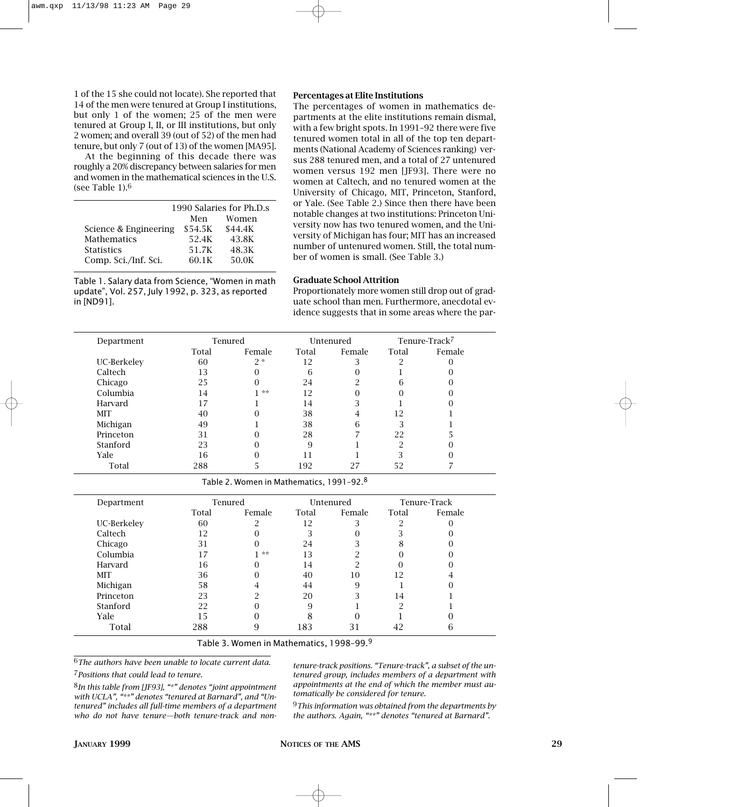1 of the 15 she could not locate). She reported that 14 of the men were tenured at Group I institutions, but only 1 of the women; 25 of the men were tenured at Group I, II, or III institutions, but only 2 women; and overall 39 (out of 52) of the men had tenure, but only 7 (out of 13) of the women [MA95].

At the beginning of this decade there was roughly a 20% discrepancy between salaries for men and women in the mathematical sciences in the U.S. (see Table 1).6

|                       | 1990 Salaries for Ph.D.s |         |  |  |  |
|-----------------------|--------------------------|---------|--|--|--|
|                       | Men                      | Women   |  |  |  |
| Science & Engineering | \$54.5K                  | \$44.4K |  |  |  |
| <b>Mathematics</b>    | 52.4K                    | 43.8K   |  |  |  |
| <b>Statistics</b>     | 51.7K                    | 48.3K   |  |  |  |
| Comp. Sci./Inf. Sci.  | 60.1K                    | 50.0K   |  |  |  |

Table 1. Salary data from Science, "Women in math update", Vol. 257, July 1992, p. 323, as reported in [ND91].

#### **Percentages at Elite Institutions**

The percentages of women in mathematics departments at the elite institutions remain dismal, with a few bright spots. In 1991–92 there were five tenured women total in all of the top ten departments (National Academy of Sciences ranking) versus 288 tenured men, and a total of 27 untenured women versus 192 men [JF93]. There were no women at Caltech, and no tenured women at the University of Chicago, MIT, Princeton, Stanford, or Yale. (See Table 2.) Since then there have been notable changes at two institutions: Princeton University now has two tenured women, and the University of Michigan has four; MIT has an increased number of untenured women. Still, the total number of women is small. (See Table 3.)

#### **Graduate School Attrition**

Proportionately more women still drop out of graduate school than men. Furthermore, anecdotal evidence suggests that in some areas where the par-

| Tenured<br>Department |       | Untenured |       |        | Tenure-Track <sup>7</sup> |        |
|-----------------------|-------|-----------|-------|--------|---------------------------|--------|
|                       | Total | Female    | Total | Female | Total                     | Female |
| UC-Berkeley           | 60    | $2 *$     | 12    | 3      | ി                         |        |
| Caltech               | 13    |           | 6     | 0      |                           |        |
| Chicago               | 25    | 0         | 24    | ∩      | 6                         |        |
| Columbia              | 14    | **        | 12    | 0      |                           |        |
| Harvard               | 17    |           | 14    | 3      |                           |        |
| <b>MIT</b>            | 40    |           | 38    | 4      | 12                        |        |
| Michigan              | 49    |           | 38    | 6      | 3                         |        |
| Princeton             | 31    |           | 28    |        | 22                        |        |
| Stanford              | 23    |           | 9     |        | ി                         |        |
| Yale                  | 16    |           |       |        | Κ                         |        |
| Total                 | 288   |           | 192   | 27     | 52                        |        |

Table 2. Women in Mathematics, 1991–92.8

| Department  | Tenured |        | Untenured |        | Tenure-Track |        |
|-------------|---------|--------|-----------|--------|--------------|--------|
|             | Total   | Female | Total     | Female | Total        | Female |
| UC-Berkeley | 60      | റ      | 12        |        |              |        |
| Caltech     | 12      |        |           |        |              |        |
| Chicago     | 31      | 0      | 24        |        | 8            |        |
| Columbia    |         | **     | 13        |        |              |        |
| Harvard     | 16      |        | 14        | ∩      |              |        |
| <b>MIT</b>  | 36      |        | 40        | 10     | 12           |        |
| Michigan    | 58      | 4      | 44        | 9      |              |        |
| Princeton   | 23      | റ      | 20        | ∍      | 14           |        |
| Stanford    | 22      |        | 9         |        | റ            |        |
| Yale        | 15      |        |           |        |              |        |
| Total       | 288     | 9      | 183       | 31     | 42           | h      |

Table 3. Women in Mathematics, 1998–99.9

6*The authors have been unable to locate current data.* 7*Positions that could lead to tenure.*

*tenure-track positions. "Tenure-track", a subset of the untenured group, includes members of a department with appointments at the end of which the member must automatically be considered for tenure.*

8*In this table from [JF93], "\*" denotes "joint appointment with UCLA", "\*\*" denotes "tenured at Barnard", and "Untenured" includes all full-time members of a department who do not have tenure—both tenure-track and non-*

9*This information was obtained from the departments by the authors. Again, "\*\*" denotes "tenured at Barnard".*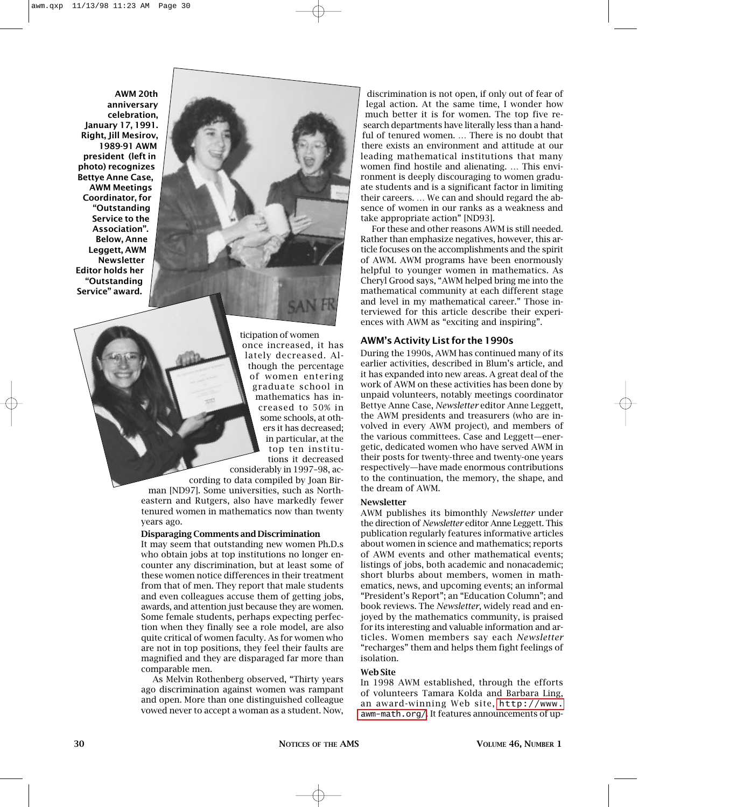**AWM 20th anniversary celebration, January 17, 1991. Right, Jill Mesirov, 1989-91 AWM president (left in photo) recognizes Bettye Anne Case, AWM Meetings Coordinator, for "Outstanding Service to the Association". Below, Anne Leggett, AWM Newsletter Editor holds her "Outstanding Service" award.** 



ticipation of women once increased, it has lately decreased. Although the percentage of women entering graduate school in mathematics has increased to 50% in some schools, at others it has decreased; in particular, at the top ten institutions it decreased

considerably in 1997–98, according to data compiled by Joan Bir-

man [ND97]. Some universities, such as Northeastern and Rutgers, also have markedly fewer tenured women in mathematics now than twenty years ago.

# **Disparaging Comments and Discrimination**

It may seem that outstanding new women Ph.D.s who obtain jobs at top institutions no longer encounter any discrimination, but at least some of these women notice differences in their treatment from that of men. They report that male students and even colleagues accuse them of getting jobs, awards, and attention just because they are women. Some female students, perhaps expecting perfection when they finally see a role model, are also quite critical of women faculty. As for women who are not in top positions, they feel their faults are magnified and they are disparaged far more than comparable men.

As Melvin Rothenberg observed, "Thirty years ago discrimination against women was rampant and open. More than one distinguished colleague vowed never to accept a woman as a student. Now,

discrimination is not open, if only out of fear of legal action. At the same time, I wonder how much better it is for women. The top five research departments have literally less than a handful of tenured women. … There is no doubt that there exists an environment and attitude at our leading mathematical institutions that many women find hostile and alienating. … This environment is deeply discouraging to women graduate students and is a significant factor in limiting their careers. … We can and should regard the absence of women in our ranks as a weakness and take appropriate action" [ND93].

For these and other reasons AWM is still needed. Rather than emphasize negatives, however, this article focuses on the accomplishments and the spirit of AWM. AWM programs have been enormously helpful to younger women in mathematics. As Cheryl Grood says, "AWM helped bring me into the mathematical community at each different stage and level in my mathematical career." Those interviewed for this article describe their experiences with AWM as "exciting and inspiring".

# **AWM's Activity List for the 1990s**

During the 1990s, AWM has continued many of its earlier activities, described in Blum's article, and it has expanded into new areas. A great deal of the work of AWM on these activities has been done by unpaid volunteers, notably meetings coordinator Bettye Anne Case, *Newsletter* editor Anne Leggett, the AWM presidents and treasurers (who are involved in every AWM project), and members of the various committees. Case and Leggett—energetic, dedicated women who have served AWM in their posts for twenty-three and twenty-one years respectively—have made enormous contributions to the continuation, the memory, the shape, and the dream of AWM.

#### **Newsletter**

AWM publishes its bimonthly *Newsletter* under the direction of *Newsletter* editor Anne Leggett. This publication regularly features informative articles about women in science and mathematics; reports of AWM events and other mathematical events; listings of jobs, both academic and nonacademic; short blurbs about members, women in mathematics, news, and upcoming events; an informal "President's Report"; an "Education Column"; and book reviews. The *Newsletter*, widely read and enjoyed by the mathematics community, is praised for its interesting and valuable information and articles. Women members say each *Newsletter* "recharges" them and helps them fight feelings of isolation.

#### **Web Site**

In 1998 AWM established, through the efforts of volunteers Tamara Kolda and Barbara Ling, an award-winning Web site, [http://www.](http://www.awm-math.org/) [awm-math.org/](http://www.awm-math.org/). It features announcements of up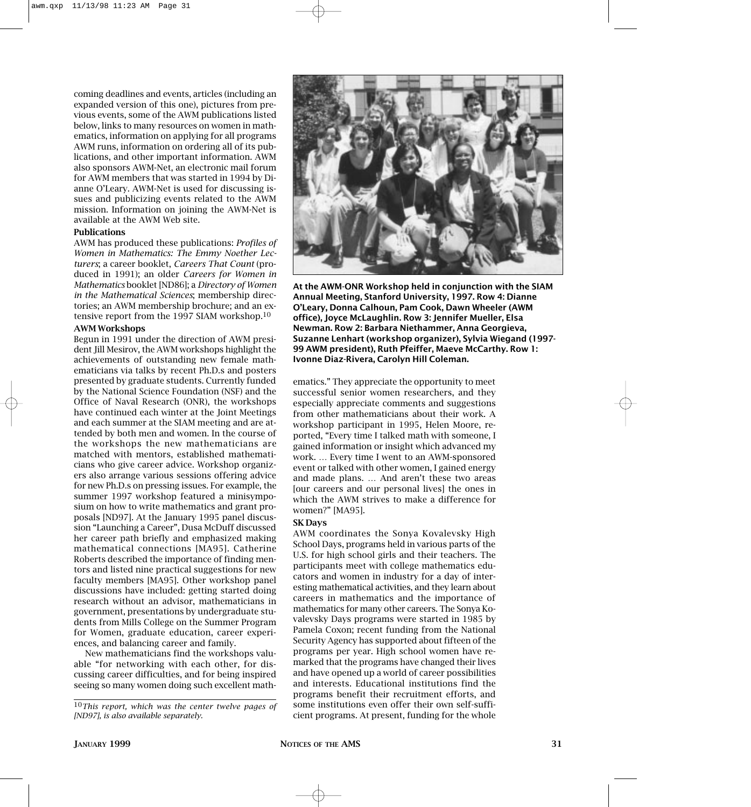coming deadlines and events, articles (including an expanded version of this one), pictures from previous events, some of the AWM publications listed below, links to many resources on women in mathematics, information on applying for all programs AWM runs, information on ordering all of its publications, and other important information. AWM also sponsors AWM-Net, an electronic mail forum for AWM members that was started in 1994 by Dianne O'Leary. AWM-Net is used for discussing issues and publicizing events related to the AWM mission. Information on joining the AWM-Net is available at the AWM Web site.

# **Publications**

AWM has produced these publications: *Profiles of Women in Mathematics: The Emmy Noether Lecturers*; a career booklet, *Careers That Count* (produced in 1991); an older *Careers for Women in Mathematics* booklet [ND86]; a *Directory of Women in the Mathematical Sciences*; membership directories; an AWM membership brochure; and an extensive report from the 1997 SIAM workshop.10

#### **AWM Workshops**

Begun in 1991 under the direction of AWM president Jill Mesirov, the AWM workshops highlight the achievements of outstanding new female mathematicians via talks by recent Ph.D.s and posters presented by graduate students. Currently funded by the National Science Foundation (NSF) and the Office of Naval Research (ONR), the workshops have continued each winter at the Joint Meetings and each summer at the SIAM meeting and are attended by both men and women. In the course of the workshops the new mathematicians are matched with mentors, established mathematicians who give career advice. Workshop organizers also arrange various sessions offering advice for new Ph.D.s on pressing issues. For example, the summer 1997 workshop featured a minisymposium on how to write mathematics and grant proposals [ND97]. At the January 1995 panel discussion "Launching a Career", Dusa McDuff discussed her career path briefly and emphasized making mathematical connections [MA95]. Catherine Roberts described the importance of finding mentors and listed nine practical suggestions for new faculty members [MA95]. Other workshop panel discussions have included: getting started doing research without an advisor, mathematicians in government, presentations by undergraduate students from Mills College on the Summer Program for Women, graduate education, career experiences, and balancing career and family.

New mathematicians find the workshops valuable "for networking with each other, for discussing career difficulties, and for being inspired seeing so many women doing such excellent math-



**At the AWM-ONR Workshop held in conjunction with the SIAM Annual Meeting, Stanford University, 1997. Row 4: Dianne O'Leary, Donna Calhoun, Pam Cook, Dawn Wheeler (AWM office), Joyce McLaughlin. Row 3: Jennifer Mueller, Elsa Newman. Row 2: Barbara Niethammer, Anna Georgieva, Suzanne Lenhart (workshop organizer), Sylvia Wiegand (1997- 99 AWM president), Ruth Pfeiffer, Maeve McCarthy. Row 1: Ivonne Diaz-Rivera, Carolyn Hill Coleman.**

ematics." They appreciate the opportunity to meet successful senior women researchers, and they especially appreciate comments and suggestions from other mathematicians about their work. A workshop participant in 1995, Helen Moore, reported, "Every time I talked math with someone, I gained information or insight which advanced my work. … Every time I went to an AWM-sponsored event or talked with other women, I gained energy and made plans. … And aren't these two areas [our careers and our personal lives] the ones in which the AWM strives to make a difference for women?" [MA95].

#### **SK Days**

AWM coordinates the Sonya Kovalevsky High School Days, programs held in various parts of the U.S. for high school girls and their teachers. The participants meet with college mathematics educators and women in industry for a day of interesting mathematical activities, and they learn about careers in mathematics and the importance of mathematics for many other careers. The Sonya Kovalevsky Days programs were started in 1985 by Pamela Coxon; recent funding from the National Security Agency has supported about fifteen of the programs per year. High school women have remarked that the programs have changed their lives and have opened up a world of career possibilities and interests. Educational institutions find the programs benefit their recruitment efforts, and some institutions even offer their own self-sufficient programs. At present, funding for the whole

<sup>10</sup>*This report, which was the center twelve pages of [ND97], is also available separately.*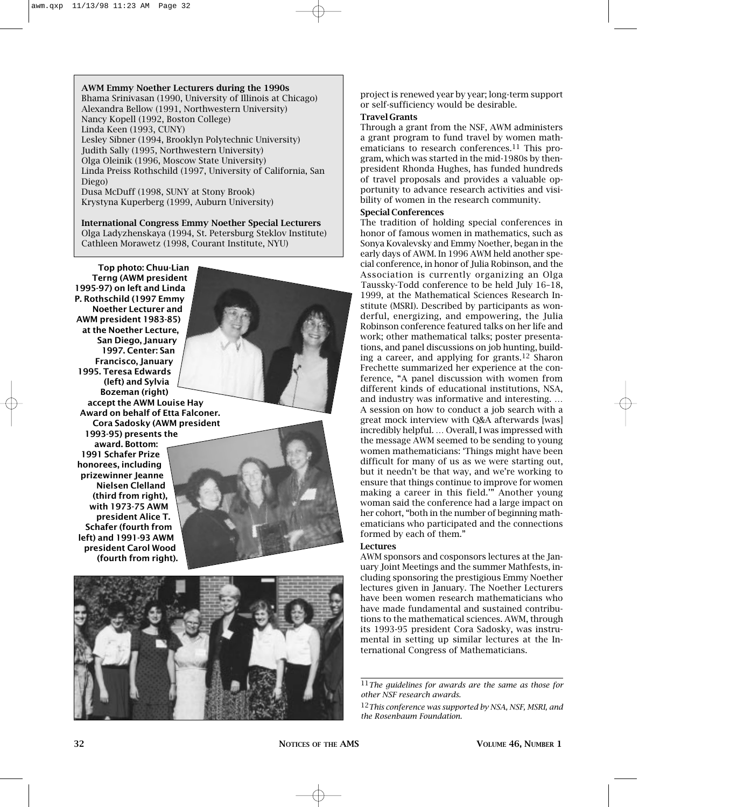# **AWM Emmy Noether Lecturers during the 1990s** Bhama Srinivasan (1990, University of Illinois at Chicago) Alexandra Bellow (1991, Northwestern University) Nancy Kopell (1992, Boston College) Linda Keen (1993, CUNY) Lesley Sibner (1994, Brooklyn Polytechnic University) Judith Sally (1995, Northwestern University) Olga Oleinik (1996, Moscow State University) Linda Preiss Rothschild (1997, University of California, San Diego) Dusa McDuff (1998, SUNY at Stony Brook)

Krystyna Kuperberg (1999, Auburn University)

# **International Congress Emmy Noether Special Lecturers** Olga Ladyzhenskaya (1994, St. Petersburg Steklov Institute) Cathleen Morawetz (1998, Courant Institute, NYU)

**Top photo: Chuu-Lian Terng (AWM president 1995-97) on left and Linda P. Rothschild (1997 Emmy Noether Lecturer and AWM president 1983-85) at the Noether Lecture, San Diego, January 1997. Center: San Francisco, January 1995. Teresa Edwards (left) and Sylvia Bozeman (right) accept the AWM Louise Hay Award on behalf of Etta Falconer. Cora Sadosky (AWM president 1993-95) presents the award. Bottom: 1991 Schafer Prize honorees, including**

**prizewinner Jeanne Nielsen Clelland (third from right), with 1973-75 AWM president Alice T. Schafer (fourth from left) and 1991-93 AWM president Carol Wood (fourth from right).**



project is renewed year by year; long-term support or self-sufficiency would be desirable.

# **Travel Grants**

Through a grant from the NSF, AWM administers a grant program to fund travel by women mathematicians to research conferences.11 This program, which was started in the mid-1980s by thenpresident Rhonda Hughes, has funded hundreds of travel proposals and provides a valuable opportunity to advance research activities and visibility of women in the research community.

# **Special Conferences**

The tradition of holding special conferences in honor of famous women in mathematics, such as Sonya Kovalevsky and Emmy Noether, began in the early days of AWM. In 1996 AWM held another special conference, in honor of Julia Robinson, and the Association is currently organizing an Olga Taussky-Todd conference to be held July 16–18, 1999, at the Mathematical Sciences Research Institute (MSRI). Described by participants as wonderful, energizing, and empowering, the Julia Robinson conference featured talks on her life and work; other mathematical talks; poster presentations, and panel discussions on job hunting, building a career, and applying for grants.<sup>12</sup> Sharon Frechette summarized her experience at the conference, "A panel discussion with women from different kinds of educational institutions, NSA, and industry was informative and interesting. … A session on how to conduct a job search with a great mock interview with Q&A afterwards [was] incredibly helpful. … Overall, I was impressed with the message AWM seemed to be sending to young women mathematicians: 'Things might have been difficult for many of us as we were starting out, but it needn't be that way, and we're working to ensure that things continue to improve for women making a career in this field.'" Another young woman said the conference had a large impact on her cohort, "both in the number of beginning mathematicians who participated and the connections formed by each of them."

# **Lectures**

AWM sponsors and cosponsors lectures at the January Joint Meetings and the summer Mathfests, including sponsoring the prestigious Emmy Noether lectures given in January. The Noether Lecturers have been women research mathematicians who have made fundamental and sustained contributions to the mathematical sciences. AWM, through its 1993-95 president Cora Sadosky, was instrumental in setting up similar lectures at the International Congress of Mathematicians.

11*The guidelines for awards are the same as those for other NSF research awards.*

12*This conference was supported by NSA, NSF, MSRI, and the Rosenbaum Foundation.*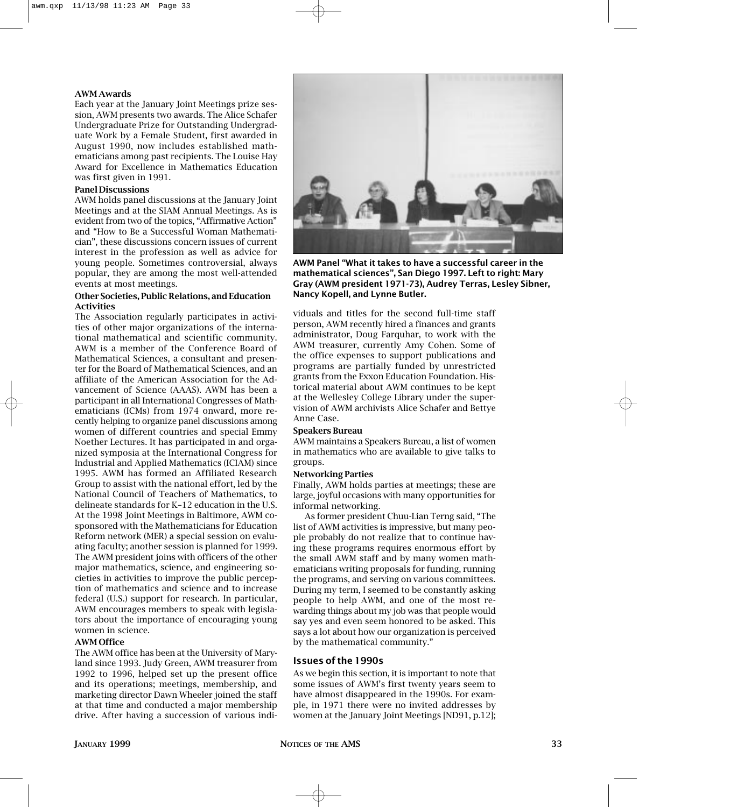## **AWM Awards**

Each year at the January Joint Meetings prize session, AWM presents two awards. The Alice Schafer Undergraduate Prize for Outstanding Undergraduate Work by a Female Student, first awarded in August 1990, now includes established mathematicians among past recipients. The Louise Hay Award for Excellence in Mathematics Education was first given in 1991.

# **Panel Discussions**

AWM holds panel discussions at the January Joint Meetings and at the SIAM Annual Meetings. As is evident from two of the topics, "Affirmative Action" and "How to Be a Successful Woman Mathematician", these discussions concern issues of current interest in the profession as well as advice for young people. Sometimes controversial, always popular, they are among the most well-attended events at most meetings.

#### **Other Societies, Public Relations, and Education Activities**

The Association regularly participates in activities of other major organizations of the international mathematical and scientific community. AWM is a member of the Conference Board of Mathematical Sciences, a consultant and presenter for the Board of Mathematical Sciences, and an affiliate of the American Association for the Advancement of Science (AAAS). AWM has been a participant in all International Congresses of Mathematicians (ICMs) from 1974 onward, more recently helping to organize panel discussions among women of different countries and special Emmy Noether Lectures. It has participated in and organized symposia at the International Congress for Industrial and Applied Mathematics (ICIAM) since 1995. AWM has formed an Affiliated Research Group to assist with the national effort, led by the National Council of Teachers of Mathematics, to delineate standards for K–12 education in the U.S. At the 1998 Joint Meetings in Baltimore, AWM cosponsored with the Mathematicians for Education Reform network (MER) a special session on evaluating faculty; another session is planned for 1999. The AWM president joins with officers of the other major mathematics, science, and engineering societies in activities to improve the public perception of mathematics and science and to increase federal (U.S.) support for research. In particular, AWM encourages members to speak with legislators about the importance of encouraging young women in science.

#### **AWM Office**

The AWM office has been at the University of Maryland since 1993. Judy Green, AWM treasurer from 1992 to 1996, helped set up the present office and its operations; meetings, membership, and marketing director Dawn Wheeler joined the staff at that time and conducted a major membership drive. After having a succession of various indi-



**AWM Panel "What it takes to have a successful career in the mathematical sciences", San Diego 1997. Left to right: Mary Gray (AWM president 1971-73), Audrey Terras, Lesley Sibner, Nancy Kopell, and Lynne Butler.**

viduals and titles for the second full-time staff person, AWM recently hired a finances and grants administrator, Doug Farquhar, to work with the AWM treasurer, currently Amy Cohen. Some of the office expenses to support publications and programs are partially funded by unrestricted grants from the Exxon Education Foundation. Historical material about AWM continues to be kept at the Wellesley College Library under the supervision of AWM archivists Alice Schafer and Bettye Anne Case.

#### **Speakers Bureau**

AWM maintains a Speakers Bureau, a list of women in mathematics who are available to give talks to groups.

#### **Networking Parties**

Finally, AWM holds parties at meetings; these are large, joyful occasions with many opportunities for informal networking.

As former president Chuu-Lian Terng said, "The list of AWM activities is impressive, but many people probably do not realize that to continue having these programs requires enormous effort by the small AWM staff and by many women mathematicians writing proposals for funding, running the programs, and serving on various committees. During my term, I seemed to be constantly asking people to help AWM, and one of the most rewarding things about my job was that people would say yes and even seem honored to be asked. This says a lot about how our organization is perceived by the mathematical community."

#### **Issues of the 1990s**

As we begin this section, it is important to note that some issues of AWM's first twenty years seem to have almost disappeared in the 1990s. For example, in 1971 there were no invited addresses by women at the January Joint Meetings [ND91, p.12];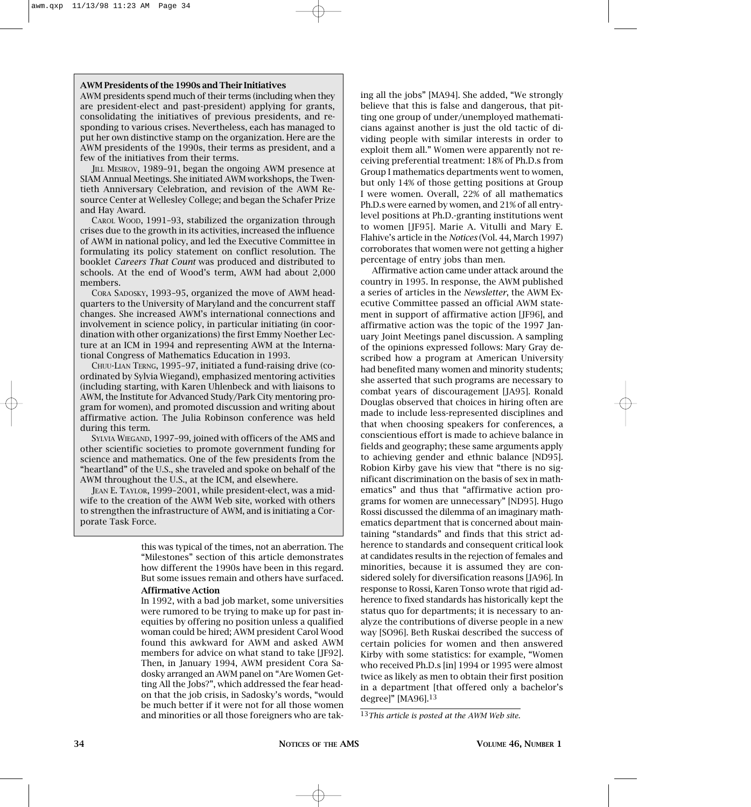#### **AWM Presidents of the 1990s and Their Initiatives**

AWM presidents spend much of their terms (including when they are president-elect and past-president) applying for grants, consolidating the initiatives of previous presidents, and responding to various crises. Nevertheless, each has managed to put her own distinctive stamp on the organization. Here are the AWM presidents of the 1990s, their terms as president, and a few of the initiatives from their terms.

JILL MESIROV, 1989-91, began the ongoing AWM presence at SIAM Annual Meetings. She initiated AWM workshops, the Twentieth Anniversary Celebration, and revision of the AWM Resource Center at Wellesley College; and began the Schafer Prize and Hay Award.

CAROL WOOD, 1991–93, stabilized the organization through crises due to the growth in its activities, increased the influence of AWM in national policy, and led the Executive Committee in formulating its policy statement on conflict resolution. The booklet *Careers That Count* was produced and distributed to schools. At the end of Wood's term, AWM had about 2,000 members.

CORA SADOSKY, 1993–95, organized the move of AWM headquarters to the University of Maryland and the concurrent staff changes. She increased AWM's international connections and involvement in science policy, in particular initiating (in coordination with other organizations) the first Emmy Noether Lecture at an ICM in 1994 and representing AWM at the International Congress of Mathematics Education in 1993.

CHUU-LIAN TERNG, 1995–97, initiated a fund-raising drive (coordinated by Sylvia Wiegand), emphasized mentoring activities (including starting, with Karen Uhlenbeck and with liaisons to AWM, the Institute for Advanced Study/Park City mentoring program for women), and promoted discussion and writing about affirmative action. The Julia Robinson conference was held during this term.

SYLVIA WIEGAND, 1997–99, joined with officers of the AMS and other scientific societies to promote government funding for science and mathematics. One of the few presidents from the "heartland" of the U.S., she traveled and spoke on behalf of the AWM throughout the U.S., at the ICM, and elsewhere.

JEAN E. TAYLOR, 1999–2001, while president-elect, was a midwife to the creation of the AWM Web site, worked with others to strengthen the infrastructure of AWM, and is initiating a Corporate Task Force.

> this was typical of the times, not an aberration. The "Milestones" section of this article demonstrates how different the 1990s have been in this regard. But some issues remain and others have surfaced.

**Affirmative Action**

In 1992, with a bad job market, some universities were rumored to be trying to make up for past inequities by offering no position unless a qualified woman could be hired; AWM president Carol Wood found this awkward for AWM and asked AWM members for advice on what stand to take [JF92]. Then, in January 1994, AWM president Cora Sadosky arranged an AWM panel on "Are Women Getting All the Jobs?", which addressed the fear headon that the job crisis, in Sadosky's words, "would be much better if it were not for all those women and minorities or all those foreigners who are tak-

ing all the jobs" [MA94]. She added, "We strongly believe that this is false and dangerous, that pitting one group of under/unemployed mathematicians against another is just the old tactic of dividing people with similar interests in order to exploit them all." Women were apparently not receiving preferential treatment: 18% of Ph.D.s from Group I mathematics departments went to women, but only 14% of those getting positions at Group I were women. Overall, 22% of all mathematics Ph.D.s were earned by women, and 21% of all entrylevel positions at Ph.D.-granting institutions went to women [JF95]. Marie A. Vitulli and Mary E. Flahive's article in the *Notices* (Vol. 44, March 1997) corroborates that women were not getting a higher percentage of entry jobs than men.

Affirmative action came under attack around the country in 1995. In response, the AWM published a series of articles in the *Newsletter*, the AWM Executive Committee passed an official AWM statement in support of affirmative action [JF96], and affirmative action was the topic of the 1997 January Joint Meetings panel discussion. A sampling of the opinions expressed follows: Mary Gray described how a program at American University had benefited many women and minority students; she asserted that such programs are necessary to combat years of discouragement [JA95]. Ronald Douglas observed that choices in hiring often are made to include less-represented disciplines and that when choosing speakers for conferences, a conscientious effort is made to achieve balance in fields and geography; these same arguments apply to achieving gender and ethnic balance [ND95]. Robion Kirby gave his view that "there is no significant discrimination on the basis of sex in mathematics" and thus that "affirmative action programs for women are unnecessary" [ND95]. Hugo Rossi discussed the dilemma of an imaginary mathematics department that is concerned about maintaining "standards" and finds that this strict adherence to standards and consequent critical look at candidates results in the rejection of females and minorities, because it is assumed they are considered solely for diversification reasons [JA96]. In response to Rossi, Karen Tonso wrote that rigid adherence to fixed standards has historically kept the status quo for departments; it is necessary to analyze the contributions of diverse people in a new way [SO96]. Beth Ruskai described the success of certain policies for women and then answered Kirby with some statistics: for example, "Women who received Ph.D.s [in] 1994 or 1995 were almost twice as likely as men to obtain their first position in a department [that offered only a bachelor's degree]" [MA96].13

<sup>13</sup>*This article is posted at the AWM Web site.*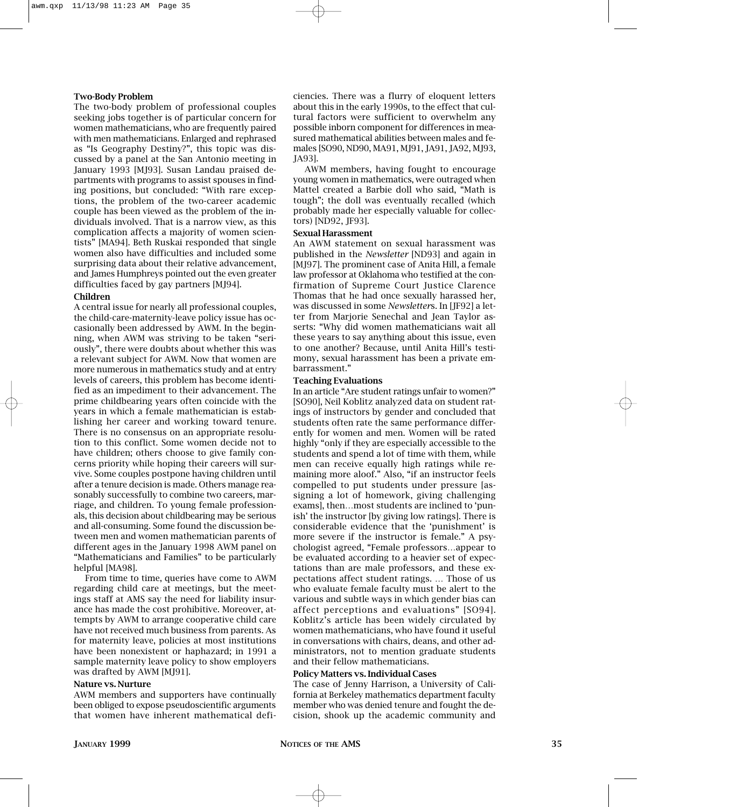## **Two-Body Problem**

The two-body problem of professional couples seeking jobs together is of particular concern for women mathematicians, who are frequently paired with men mathematicians. Enlarged and rephrased as "Is Geography Destiny?", this topic was discussed by a panel at the San Antonio meeting in January 1993 [MJ93]. Susan Landau praised departments with programs to assist spouses in finding positions, but concluded: "With rare exceptions, the problem of the two-career academic couple has been viewed as the problem of the individuals involved. That is a narrow view, as this complication affects a majority of women scientists" [MA94]. Beth Ruskai responded that single women also have difficulties and included some surprising data about their relative advancement, and James Humphreys pointed out the even greater difficulties faced by gay partners [MJ94].

#### **Children**

A central issue for nearly all professional couples, the child-care-maternity-leave policy issue has occasionally been addressed by AWM. In the beginning, when AWM was striving to be taken "seriously", there were doubts about whether this was a relevant subject for AWM. Now that women are more numerous in mathematics study and at entry levels of careers, this problem has become identified as an impediment to their advancement. The prime childbearing years often coincide with the years in which a female mathematician is establishing her career and working toward tenure. There is no consensus on an appropriate resolution to this conflict. Some women decide not to have children; others choose to give family concerns priority while hoping their careers will survive. Some couples postpone having children until after a tenure decision is made. Others manage reasonably successfully to combine two careers, marriage, and children. To young female professionals, this decision about childbearing may be serious and all-consuming. Some found the discussion between men and women mathematician parents of different ages in the January 1998 AWM panel on "Mathematicians and Families" to be particularly helpful [MA98].

From time to time, queries have come to AWM regarding child care at meetings, but the meetings staff at AMS say the need for liability insurance has made the cost prohibitive. Moreover, attempts by AWM to arrange cooperative child care have not received much business from parents. As for maternity leave, policies at most institutions have been nonexistent or haphazard; in 1991 a sample maternity leave policy to show employers was drafted by AWM [MJ91].

#### **Nature vs. Nurture**

AWM members and supporters have continually been obliged to expose pseudoscientific arguments that women have inherent mathematical deficiencies. There was a flurry of eloquent letters about this in the early 1990s, to the effect that cultural factors were sufficient to overwhelm any possible inborn component for differences in measured mathematical abilities between males and females [SO90, ND90, MA91, MJ91, JA91, JA92, MJ93, JA93].

AWM members, having fought to encourage young women in mathematics, were outraged when Mattel created a Barbie doll who said, "Math is tough"; the doll was eventually recalled (which probably made her especially valuable for collectors) [ND92, JF93].

## **Sexual Harassment**

An AWM statement on sexual harassment was published in the *Newsletter* [ND93] and again in [MJ97]. The prominent case of Anita Hill, a female law professor at Oklahoma who testified at the confirmation of Supreme Court Justice Clarence Thomas that he had once sexually harassed her, was discussed in some *Newsletter*s. In [JF92] a letter from Marjorie Senechal and Jean Taylor asserts: "Why did women mathematicians wait all these years to say anything about this issue, even to one another? Because, until Anita Hill's testimony, sexual harassment has been a private embarrassment."

#### **Teaching Evaluations**

In an article "Are student ratings unfair to women?" [SO90], Neil Koblitz analyzed data on student ratings of instructors by gender and concluded that students often rate the same performance differently for women and men. Women will be rated highly "only if they are especially accessible to the students and spend a lot of time with them, while men can receive equally high ratings while remaining more aloof." Also, "if an instructor feels compelled to put students under pressure [assigning a lot of homework, giving challenging exams], then…most students are inclined to 'punish' the instructor [by giving low ratings]. There is considerable evidence that the 'punishment' is more severe if the instructor is female." A psychologist agreed, "Female professors…appear to be evaluated according to a heavier set of expectations than are male professors, and these expectations affect student ratings. … Those of us who evaluate female faculty must be alert to the various and subtle ways in which gender bias can affect perceptions and evaluations" [SO94]. Koblitz's article has been widely circulated by women mathematicians, who have found it useful in conversations with chairs, deans, and other administrators, not to mention graduate students and their fellow mathematicians.

#### **Policy Matters vs. Individual Cases**

The case of Jenny Harrison, a University of California at Berkeley mathematics department faculty member who was denied tenure and fought the decision, shook up the academic community and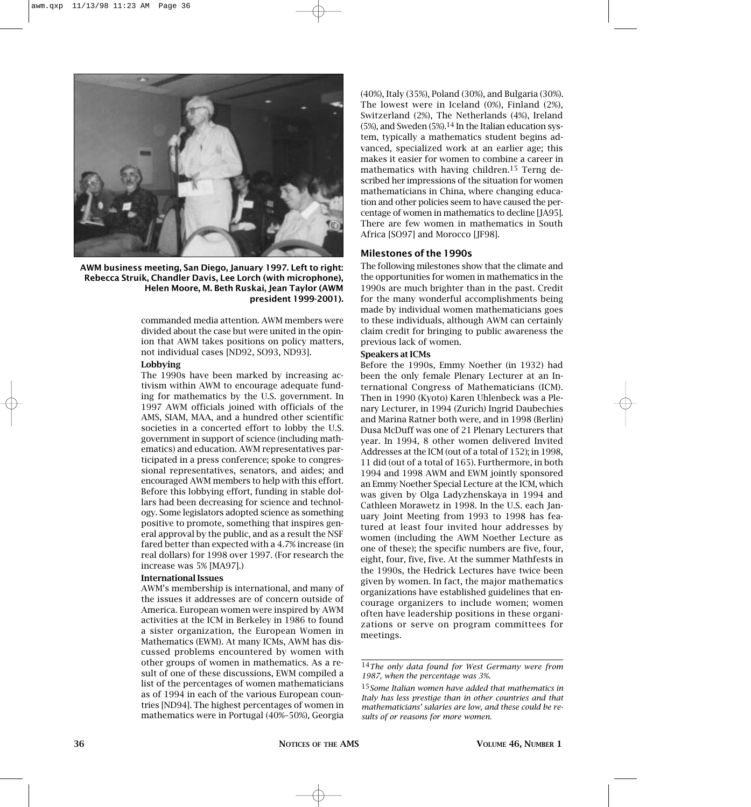

**AWM business meeting, San Diego, January 1997. Left to right: Rebecca Struik, Chandler Davis, Lee Lorch (with microphone), Helen Moore, M. Beth Ruskai, Jean Taylor (AWM president 1999-2001).**

commanded media attention. AWM members were divided about the case but were united in the opinion that AWM takes positions on policy matters, not individual cases [ND92, SO93, ND93].

#### **Lobbying**

The 1990s have been marked by increasing activism within AWM to encourage adequate funding for mathematics by the U.S. government. In 1997 AWM officials joined with officials of the AMS, SIAM, MAA, and a hundred other scientific societies in a concerted effort to lobby the U.S. government in support of science (including mathematics) and education. AWM representatives participated in a press conference; spoke to congressional representatives, senators, and aides; and encouraged AWM members to help with this effort. Before this lobbying effort, funding in stable dollars had been decreasing for science and technology. Some legislators adopted science as something positive to promote, something that inspires general approval by the public, and as a result the NSF fared better than expected with a 4.7% increase (in real dollars) for 1998 over 1997. (For research the increase was 5% [MA97].)

#### **International Issues**

AWM's membership is international, and many of the issues it addresses are of concern outside of America. European women were inspired by AWM activities at the ICM in Berkeley in 1986 to found a sister organization, the European Women in Mathematics (EWM). At many ICMs, AWM has discussed problems encountered by women with other groups of women in mathematics. As a result of one of these discussions, EWM compiled a list of the percentages of women mathematicians as of 1994 in each of the various European countries [ND94]. The highest percentages of women in mathematics were in Portugal (40%–50%), Georgia

(40%), Italy (35%), Poland (30%), and Bulgaria (30%). The lowest were in Iceland (0%), Finland (2%), Switzerland (2%), The Netherlands (4%), Ireland  $(5%)$ , and Sweden  $(5%)$ .<sup>14</sup> In the Italian education system, typically a mathematics student begins advanced, specialized work at an earlier age; this makes it easier for women to combine a career in mathematics with having children.15 Terng described her impressions of the situation for women mathematicians in China, where changing education and other policies seem to have caused the percentage of women in mathematics to decline [JA95]. There are few women in mathematics in South Africa [SO97] and Morocco [JF98].

# **Milestones of the 1990s**

The following milestones show that the climate and the opportunities for women in mathematics in the 1990s are much brighter than in the past. Credit for the many wonderful accomplishments being made by individual women mathematicians goes to these individuals, although AWM can certainly claim credit for bringing to public awareness the previous lack of women.

#### **Speakers at ICMs**

Before the 1990s, Emmy Noether (in 1932) had been the only female Plenary Lecturer at an International Congress of Mathematicians (ICM). Then in 1990 (Kyoto) Karen Uhlenbeck was a Plenary Lecturer, in 1994 (Zurich) Ingrid Daubechies and Marina Ratner both were, and in 1998 (Berlin) Dusa McDuff was one of 21 Plenary Lecturers that year. In 1994, 8 other women delivered Invited Addresses at the ICM (out of a total of 152); in 1998, 11 did (out of a total of 165). Furthermore, in both 1994 and 1998 AWM and EWM jointly sponsored an Emmy Noether Special Lecture at the ICM, which was given by Olga Ladyzhenskaya in 1994 and Cathleen Morawetz in 1998. In the U.S. each January Joint Meeting from 1993 to 1998 has featured at least four invited hour addresses by women (including the AWM Noether Lecture as one of these); the specific numbers are five, four, eight, four, five, five. At the summer Mathfests in the 1990s, the Hedrick Lectures have twice been given by women. In fact, the major mathematics organizations have established guidelines that encourage organizers to include women; women often have leadership positions in these organizations or serve on program committees for meetings.

<sup>14</sup>*The only data found for West Germany were from 1987, when the percentage was 3%.*

<sup>15</sup>*Some Italian women have added that mathematics in Italy has less prestige than in other countries and that mathematicians' salaries are low, and these could be results of or reasons for more women.*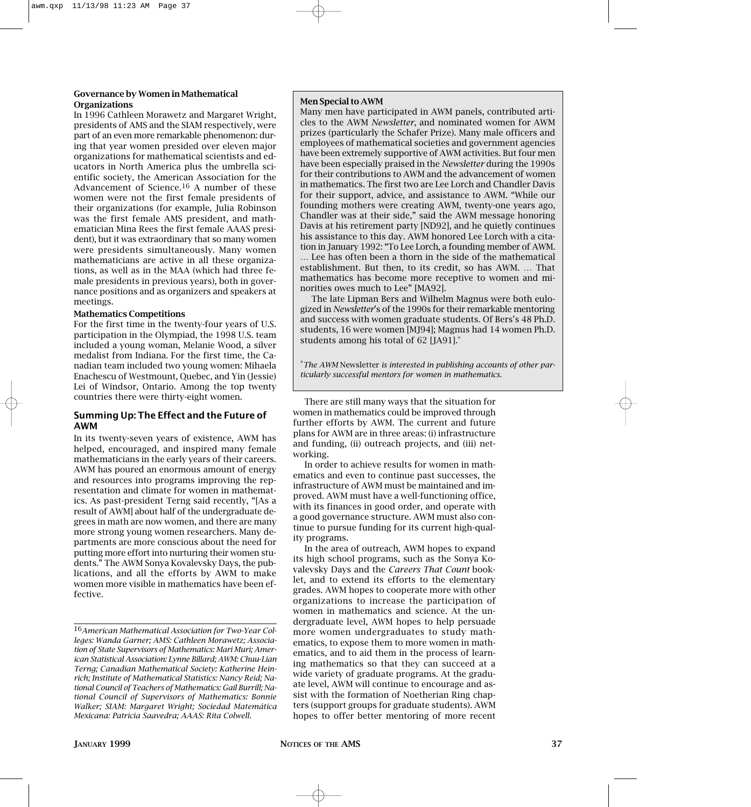# **Governance by Women in Mathematical Organizations**

In 1996 Cathleen Morawetz and Margaret Wright, presidents of AMS and the SIAM respectively, were part of an even more remarkable phenomenon: during that year women presided over eleven major organizations for mathematical scientists and educators in North America plus the umbrella scientific society, the American Association for the Advancement of Science.16 A number of these women were not the first female presidents of their organizations (for example, Julia Robinson was the first female AMS president, and mathematician Mina Rees the first female AAAS president), but it was extraordinary that so many women were presidents simultaneously. Many women mathematicians are active in all these organizations, as well as in the MAA (which had three female presidents in previous years), both in governance positions and as organizers and speakers at meetings.

# **Mathematics Competitions**

For the first time in the twenty-four years of U.S. participation in the Olympiad, the 1998 U.S. team included a young woman, Melanie Wood, a silver medalist from Indiana. For the first time, the Canadian team included two young women: Mihaela Enachescu of Westmount, Quebec, and Yin (Jessie) Lei of Windsor, Ontario. Among the top twenty countries there were thirty-eight women.

# **Summing Up: The Effect and the Future of AWM**

In its twenty-seven years of existence, AWM has helped, encouraged, and inspired many female mathematicians in the early years of their careers. AWM has poured an enormous amount of energy and resources into programs improving the representation and climate for women in mathematics. As past-president Terng said recently, "[As a result of AWM] about half of the undergraduate degrees in math are now women, and there are many more strong young women researchers. Many departments are more conscious about the need for putting more effort into nurturing their women students." The AWM Sonya Kovalevsky Days, the publications, and all the efforts by AWM to make women more visible in mathematics have been effective.

# **Men Special to AWM**

Many men have participated in AWM panels, contributed articles to the AWM *Newsletter*, and nominated women for AWM prizes (particularly the Schafer Prize). Many male officers and employees of mathematical societies and government agencies have been extremely supportive of AWM activities. But four men have been especially praised in the *Newsletter* during the 1990s for their contributions to AWM and the advancement of women in mathematics. The first two are Lee Lorch and Chandler Davis for their support, advice, and assistance to AWM. "While our founding mothers were creating AWM, twenty-one years ago, Chandler was at their side," said the AWM message honoring Davis at his retirement party [ND92], and he quietly continues his assistance to this day. AWM honored Lee Lorch with a citation in January 1992: "To Lee Lorch, a founding member of AWM. … Lee has often been a thorn in the side of the mathematical establishment. But then, to its credit, so has AWM. … That mathematics has become more receptive to women and minorities owes much to Lee" [MA92].

The late Lipman Bers and Wilhelm Magnus were both eulogized in *Newsletter*'s of the 1990s for their remarkable mentoring and success with women graduate students. Of Bers's 48 Ph.D. students, 16 were women [MJ94]; Magnus had 14 women Ph.D. students among his total of 62 [JA91].\*

\**The AWM* Newsletter *is interested in publishing accounts of other particularly successful mentors for women in mathematics.*

There are still many ways that the situation for women in mathematics could be improved through further efforts by AWM. The current and future plans for AWM are in three areas: (i) infrastructure and funding, (ii) outreach projects, and (iii) networking.

In order to achieve results for women in mathematics and even to continue past successes, the infrastructure of AWM must be maintained and improved. AWM must have a well-functioning office, with its finances in good order, and operate with a good governance structure. AWM must also continue to pursue funding for its current high-quality programs.

In the area of outreach, AWM hopes to expand its high school programs, such as the Sonya Kovalevsky Days and the *Careers That Count* booklet, and to extend its efforts to the elementary grades. AWM hopes to cooperate more with other organizations to increase the participation of women in mathematics and science. At the undergraduate level, AWM hopes to help persuade more women undergraduates to study mathematics, to expose them to more women in mathematics, and to aid them in the process of learning mathematics so that they can succeed at a wide variety of graduate programs. At the graduate level, AWM will continue to encourage and assist with the formation of Noetherian Ring chapters (support groups for graduate students). AWM hopes to offer better mentoring of more recent

<sup>16</sup>*American Mathematical Association for Two-Year Colleges: Wanda Garner; AMS: Cathleen Morawetz; Association of State Supervisors of Mathematics: Mari Muri; American Statistical Association: Lynne Billard; AWM: Chuu-Lian Terng; Canadian Mathematical Society: Katherine Heinrich; Institute of Mathematical Statistics: Nancy Reid; National Council of Teachers of Mathematics: Gail Burrill; National Council of Supervisors of Mathematics: Bonnie Walker; SIAM: Margaret Wright; Sociedad Matemática Mexicana: Patricia Saavedra; AAAS: Rita Colwell.*